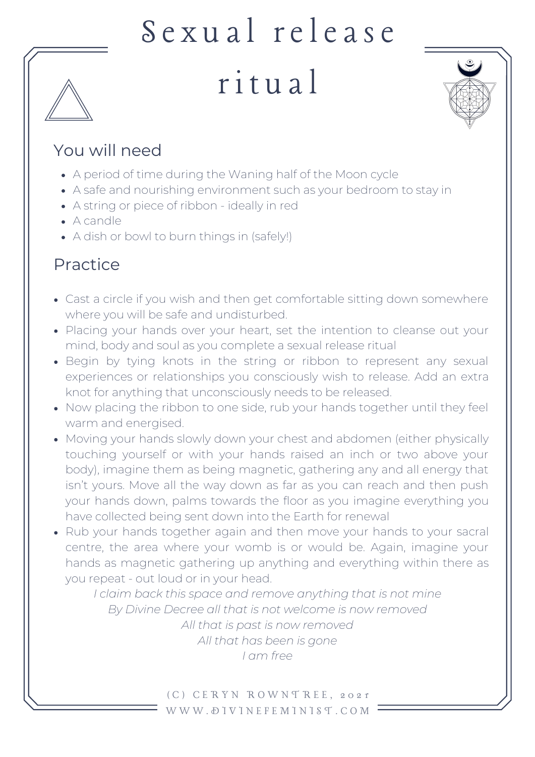# Sexual release

## r i t u al



#### You will need

- A period of time during the Waning half of the Moon cycle
- A safe and nourishing environment such as your bedroom to stay in
- A string or piece of ribbon ideally in red
- A candle
- A dish or bowl to burn things in (safely!)

### Practice

- Cast a circle if you wish and then get comfortable sitting down somewhere where you will be safe and undisturbed.
- Placing your hands over your heart, set the intention to cleanse out your mind, body and soul as you complete a sexual release ritual
- Begin by tying knots in the string or ribbon to represent any sexual experiences or relationships you consciously wish to release. Add an extra knot for anything that unconsciously needs to be released.
- Now placing the ribbon to one side, rub your hands together until they feel warm and energised.
- Moving your hands slowly down your chest and abdomen (either physically touching yourself or with your hands raised an inch or two above your body), imagine them as being magnetic, gathering any and all energy that isn't yours. Move all the way down as far as you can reach and then push your hands down, palms towards the floor as you imagine everything you have collected being sent down into the Earth for renewal
- Rub your hands together again and then move your hands to your sacral centre, the area where your womb is or would be. Again, imagine your hands as magnetic gathering up anything and everything within there as you repeat - out loud or in your head.

*I claim back this space and remove anything that is not mine By Divine Decree all that is not welcome is now removed All that is past is now removed All that has been is gone I am free*

> ( C ) C E R Y N R O W N T R E E , 2 0 2 1 W W W . D I V I N E F E M I N I S T . C O M